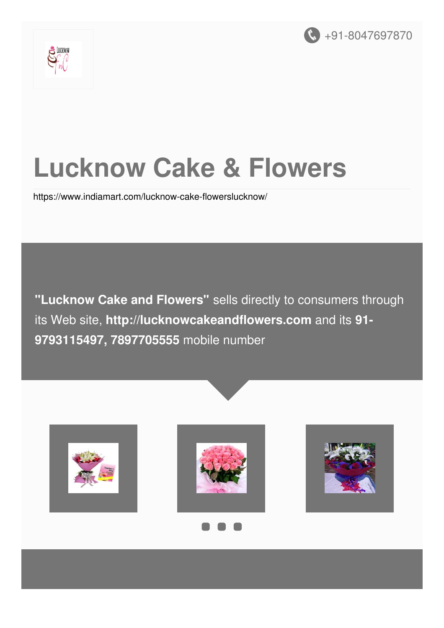



## **Lucknow Cake & Flowers**

<https://www.indiamart.com/lucknow-cake-flowerslucknow/>

**"Lucknow Cake and Flowers"** sells directly to consumers through its Web site, **http://lucknowcakeandflowers.com** and its **91- 9793115497, 7897705555** mobile number

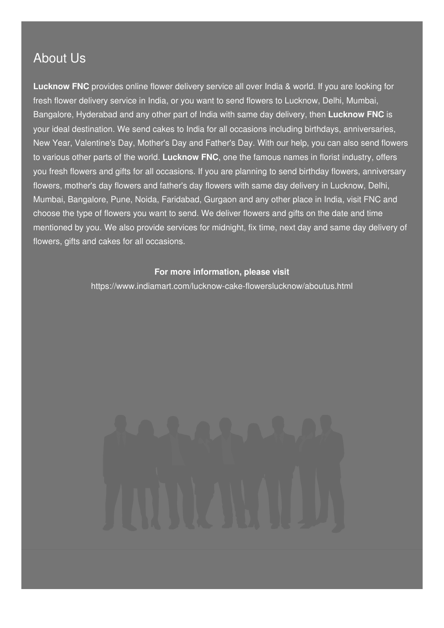#### About Us

**Lucknow FNC** provides online flower delivery service all over India & world. If you are looking for fresh flower delivery service in India, or you want to send flowers to Lucknow, Delhi, Mumbai, Bangalore, Hyderabad and any other part of India with same day delivery, then **Lucknow FNC** is your ideal destination. We send cakes to India for all occasions including birthdays, anniversaries, New Year, Valentine's Day, Mother's Day and Father's Day. With our help, you can also send flowers to various other parts of the world. **Lucknow FNC**, one the famous names in florist industry, offers you fresh flowers and gifts for all occasions. If you are planning to send birthday flowers, anniversary flowers, mother's day flowers and father's day flowers with same day delivery in Lucknow, Delhi, Mumbai, Bangalore, Pune, Noida, Faridabad, Gurgaon and any other place in India, visit FNC and choose the type of flowers you want to send. We deliver flowers and gifts on the date and time mentioned by you. We also provide services for midnight, fix time, next day and same day delivery of flowers, gifts and cakes for all occasions.

#### **For more information, please visit**

<https://www.indiamart.com/lucknow-cake-flowerslucknow/aboutus.html>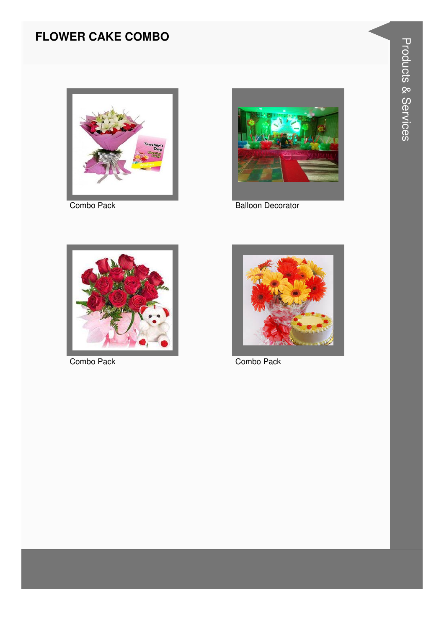#### **FLOWER CAKE COMBO**



Combo Pack



**Balloon Decorator** 



Combo Pack



Combo Pack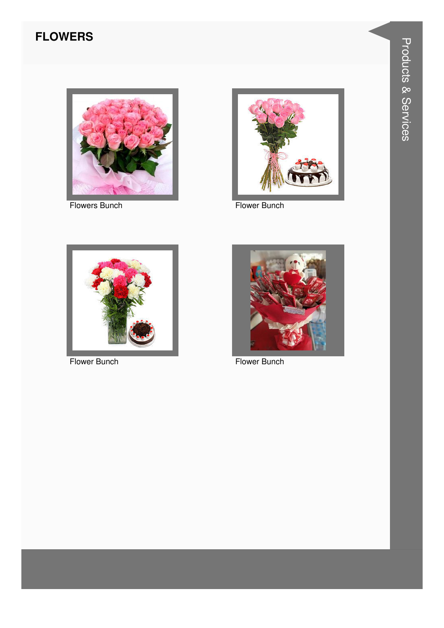#### **FLOWERS**



**Flowers Bunch** 



Flower Bunch



Flower Bunch



Flower Bunch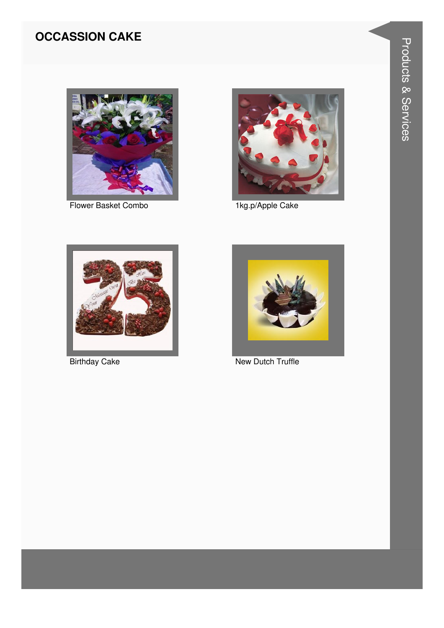#### **OCCASSION CAKE**



Flower Basket Combo



1kg.p/Apple Cake



**Birthday Cake** 



New Dutch Truffle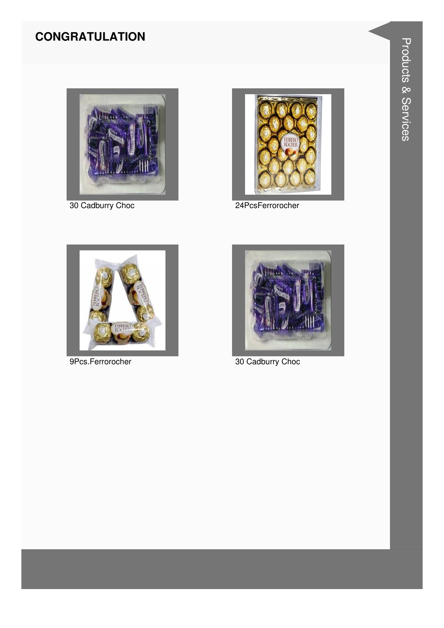#### **CONGRATULATION**



30 Cadburry Choc



24PcsFerrorocher



9Pcs.Ferrorocher



30 Cadburry Choc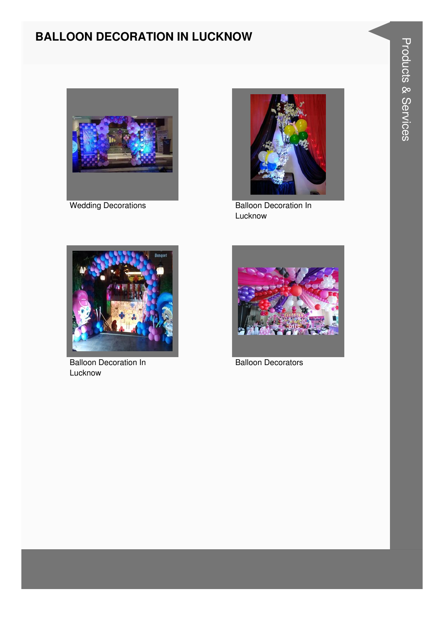# **Products & Services**

#### **BALLOON DECORATION IN LUCKNOW**



**Wedding Decorations** 



**Balloon Decoration In** Lucknow



Balloon Decoration In Lucknow



**Balloon Decorators**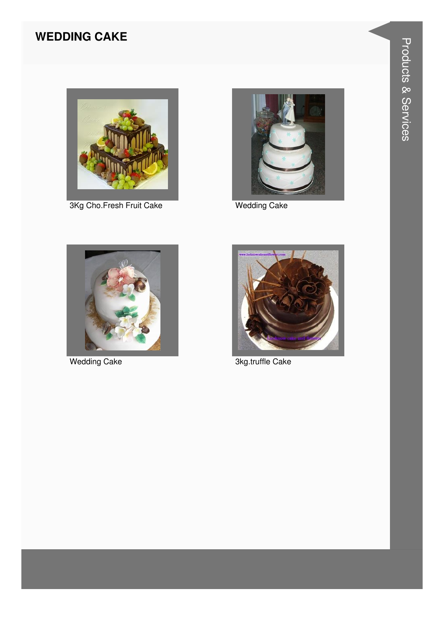#### **WEDDING CAKE**



3Kg Cho.Fresh Fruit Cake



**Wedding Cake** 



**Wedding Cake** 



3kg.truffle Cake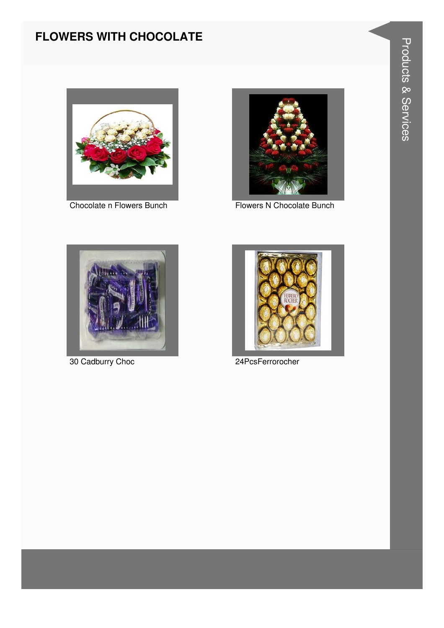#### **FLOWERS WITH CHOCOLATE**



Chocolate n Flowers Bunch



Flowers N Chocolate Bunch



30 Cadburry Choc



24PcsFerrorocher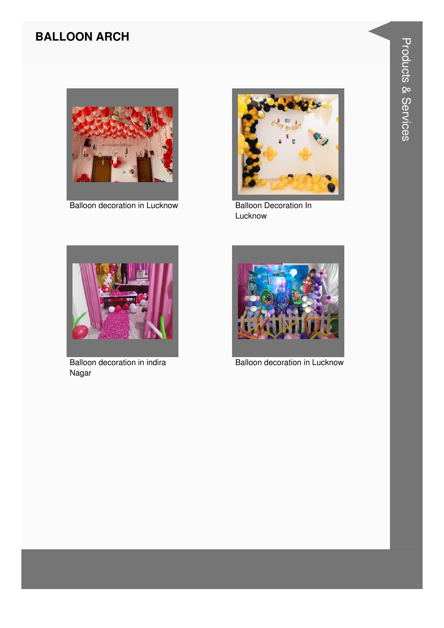#### **BALLOON ARCH**



Balloon decoration in Lucknow



**Balloon Decoration In** Lucknow



Balloon decoration in indira Nagar



**Balloon decoration in Lucknow**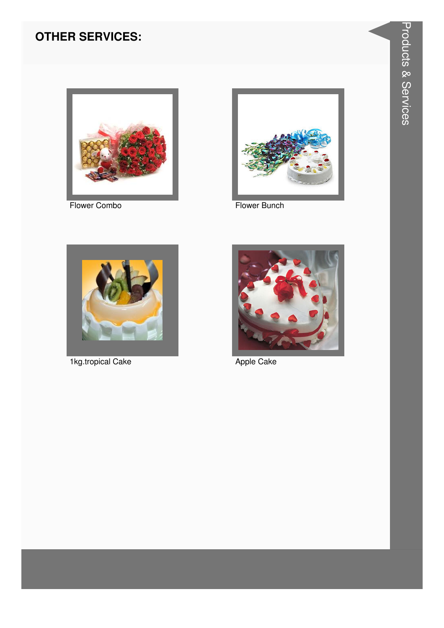#### **OTHER SERVICES:**



Flower Combo



Flower Bunch



1kg.tropical Cake



Apple Cake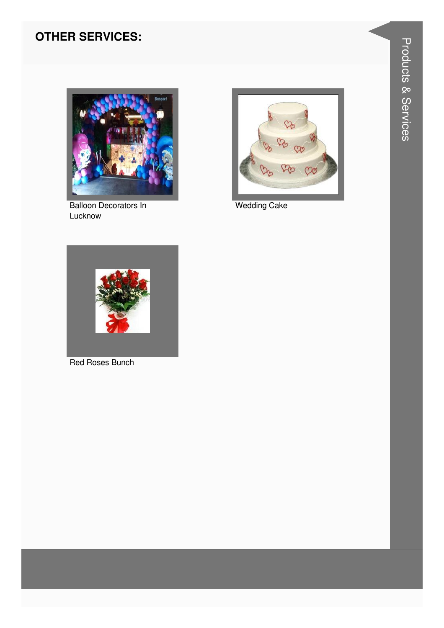#### **OTHER SERVICES:**



**Balloon Decorators In** Lucknow



**Wedding Cake** 



Red Roses Bunch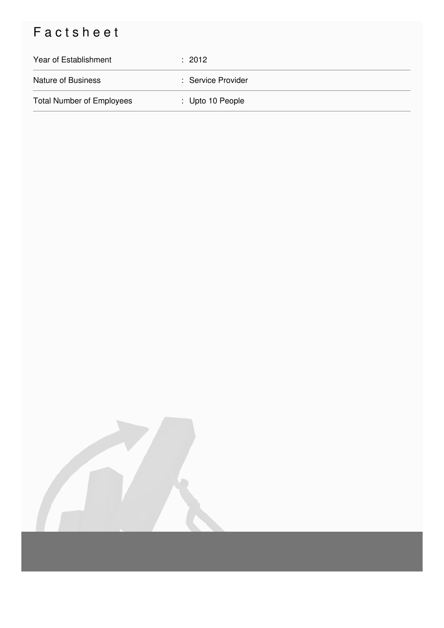### Factsheet

| Year of Establishment            | $\therefore$ 2012           |
|----------------------------------|-----------------------------|
| <b>Nature of Business</b>        | : Service Provider          |
| <b>Total Number of Employees</b> | $\therefore$ Upto 10 People |